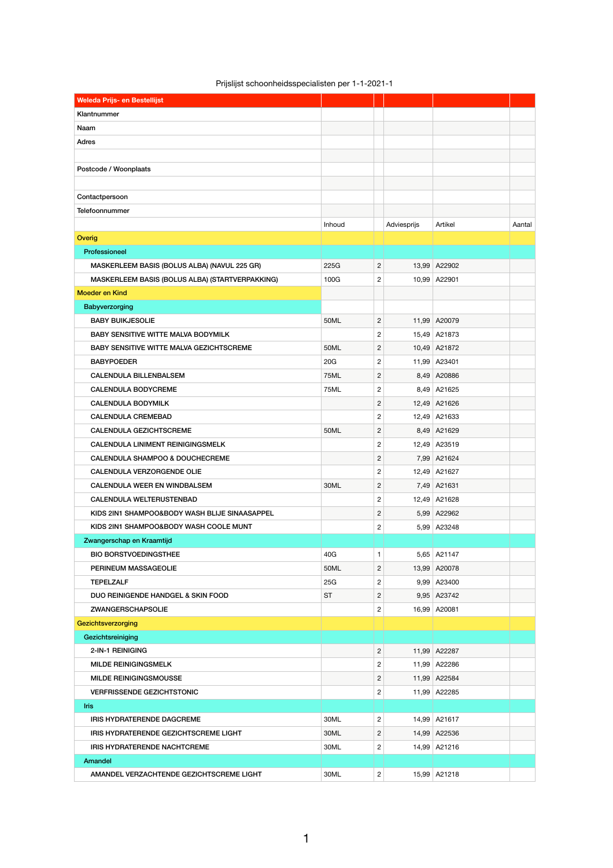|  |  | Prijslijst schoonheidsspecialisten per 1-1-2021-1 |
|--|--|---------------------------------------------------|
|--|--|---------------------------------------------------|

| <b>Weleda Prijs- en Bestellijst</b>             |             |                  |             |              |        |
|-------------------------------------------------|-------------|------------------|-------------|--------------|--------|
| Klantnummer                                     |             |                  |             |              |        |
| Naam                                            |             |                  |             |              |        |
| Adres                                           |             |                  |             |              |        |
|                                                 |             |                  |             |              |        |
| Postcode / Woonplaats                           |             |                  |             |              |        |
|                                                 |             |                  |             |              |        |
| Contactpersoon                                  |             |                  |             |              |        |
| Telefoonnummer                                  |             |                  |             |              |        |
|                                                 | Inhoud      |                  | Adviesprijs | Artikel      | Aantal |
| Overig                                          |             |                  |             |              |        |
| Professioneel                                   |             |                  |             |              |        |
| MASKERLEEM BASIS (BOLUS ALBA) (NAVUL 225 GR)    | 225G        | $\overline{c}$   |             | 13,99 A22902 |        |
| MASKERLEEM BASIS (BOLUS ALBA) (STARTVERPAKKING) | 100G        | $\mathbf{2}$     |             | 10,99 A22901 |        |
| <b>Moeder en Kind</b>                           |             |                  |             |              |        |
| Babyverzorging                                  |             |                  |             |              |        |
| <b>BABY BUIKJESOLIE</b>                         | <b>50ML</b> | $\overline{c}$   |             | 11,99 A20079 |        |
| <b>BABY SENSITIVE WITTE MALVA BODYMILK</b>      |             | $\boldsymbol{2}$ |             | 15,49 A21873 |        |
| <b>BABY SENSITIVE WITTE MALVA GEZICHTSCREME</b> | <b>50ML</b> | $\mathbf{2}$     |             | 10,49 A21872 |        |
| <b>BABYPOEDER</b>                               | 20G         | $\boldsymbol{2}$ |             | 11,99 A23401 |        |
| <b>CALENDULA BILLENBALSEM</b>                   | <b>75ML</b> | $\mathbf{2}$     |             | 8,49 A20886  |        |
| <b>CALENDULA BODYCREME</b>                      | 75ML        | $\overline{c}$   |             | 8,49 A21625  |        |
| CALENDULA BODYMILK                              |             | 2                |             | 12,49 A21626 |        |
| <b>CALENDULA CREMEBAD</b>                       |             | $\mathbf{2}$     |             | 12,49 A21633 |        |
| <b>CALENDULA GEZICHTSCREME</b>                  | 50ML        | $\overline{c}$   |             | 8,49 A21629  |        |
| <b>CALENDULA LINIMENT REINIGINGSMELK</b>        |             | $\overline{c}$   |             | 12,49 A23519 |        |
| <b>CALENDULA SHAMPOO &amp; DOUCHECREME</b>      |             | $\mathbf{2}$     |             | 7,99 A21624  |        |
| <b>CALENDULA VERZORGENDE OLIE</b>               |             | $\overline{c}$   |             | 12,49 A21627 |        |
| <b>CALENDULA WEER EN WINDBALSEM</b>             | 30ML        | $\overline{c}$   |             | 7,49 A21631  |        |
| <b>CALENDULA WELTERUSTENBAD</b>                 |             | $\mathbf{2}$     |             | 12,49 A21628 |        |
| KIDS 2IN1 SHAMPOO&BODY WASH BLIJE SINAASAPPEL   |             | $\mathbf{2}$     |             | 5,99 A22962  |        |
| KIDS 2IN1 SHAMPOO&BODY WASH COOLE MUNT          |             | $\sqrt{2}$       |             | 5,99 A23248  |        |
| Zwangerschap en Kraamtijd                       |             |                  |             |              |        |
| <b>BIO BORSTVOEDINGSTHEE</b>                    | 40G         | $\mathbf{1}$     |             | 5,65 A21147  |        |
| PERINEUM MASSAGEOLIE                            | 50ML        | $\overline{c}$   |             | 13,99 A20078 |        |
| <b>TEPELZALF</b>                                | 25G         | $\overline{c}$   |             | 9,99 A23400  |        |
| <b>DUO REINIGENDE HANDGEL &amp; SKIN FOOD</b>   | <b>ST</b>   | $\mathbf{2}$     |             | 9,95 A23742  |        |
| <b>ZWANGERSCHAPSOLIE</b>                        |             | $\overline{c}$   |             | 16,99 A20081 |        |
| Gezichtsverzorging                              |             |                  |             |              |        |
| Gezichtsreiniging                               |             |                  |             |              |        |
| 2-IN-1 REINIGING                                |             | $\mathbf{2}$     |             | 11,99 A22287 |        |
| <b>MILDE REINIGINGSMELK</b>                     |             | $\overline{c}$   |             | 11,99 A22286 |        |
| MILDE REINIGINGSMOUSSE                          |             | $\overline{2}$   |             | 11,99 A22584 |        |
| <b>VERFRISSENDE GEZICHTSTONIC</b>               |             | 2                |             | 11,99 A22285 |        |
| <b>Iris</b>                                     |             |                  |             |              |        |
| <b>IRIS HYDRATERENDE DAGCREME</b>               | 30ML        | $\overline{c}$   |             | 14,99 A21617 |        |
| IRIS HYDRATERENDE GEZICHTSCREME LIGHT           | 30ML        | $\overline{c}$   |             | 14,99 A22536 |        |
| IRIS HYDRATERENDE NACHTCREME                    | 30ML        |                  |             | 14,99 A21216 |        |
|                                                 |             | $\overline{c}$   |             |              |        |
| Amandel                                         |             |                  |             |              |        |
| AMANDEL VERZACHTENDE GEZICHTSCREME LIGHT        | 30ML        | $\overline{2}$   |             | 15,99 A21218 |        |

1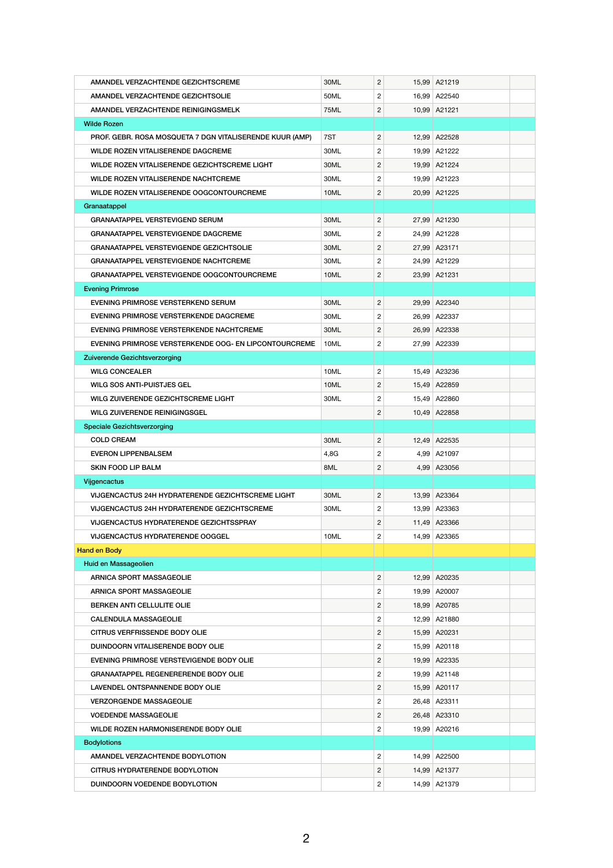| AMANDEL VERZACHTENDE GEZICHTSCREME                       | 30ML        | $\overline{c}$ | 15,99 A21219 |  |
|----------------------------------------------------------|-------------|----------------|--------------|--|
| AMANDEL VERZACHTENDE GEZICHTSOLIE                        | 50ML        | $\overline{2}$ | 16,99 A22540 |  |
| AMANDEL VERZACHTENDE REINIGINGSMELK                      | <b>75ML</b> | $\overline{c}$ | 10,99 A21221 |  |
| <b>Wilde Rozen</b>                                       |             |                |              |  |
| PROF. GEBR. ROSA MOSQUETA 7 DGN VITALISERENDE KUUR (AMP) | 7ST         | $\mathbf{2}$   | 12,99 A22528 |  |
| <b>WILDE ROZEN VITALISERENDE DAGCREME</b>                | 30ML        | 2              | 19,99 A21222 |  |
| WILDE ROZEN VITALISERENDE GEZICHTSCREME LIGHT            | 30ML        | $\overline{c}$ | 19,99 A21224 |  |
| WILDE ROZEN VITALISERENDE NACHTCREME                     | 30ML        | $\overline{c}$ | 19,99 A21223 |  |
| WILDE ROZEN VITALISERENDE OOGCONTOURCREME                | 10ML        | 2              | 20,99 A21225 |  |
| Granaatappel                                             |             |                |              |  |
| <b>GRANAATAPPEL VERSTEVIGEND SERUM</b>                   | 30ML        | $\overline{2}$ | 27,99 A21230 |  |
| <b>GRANAATAPPEL VERSTEVIGENDE DAGCREME</b>               | 30ML        | $\overline{2}$ | 24,99 A21228 |  |
| <b>GRANAATAPPEL VERSTEVIGENDE GEZICHTSOLIE</b>           | 30ML        | 2              | 27,99 A23171 |  |
| <b>GRANAATAPPEL VERSTEVIGENDE NACHTCREME</b>             | 30ML        | $\overline{c}$ | 24,99 A21229 |  |
| <b>GRANAATAPPEL VERSTEVIGENDE OOGCONTOURCREME</b>        | 10ML        | 2              | 23,99 A21231 |  |
| <b>Evening Primrose</b>                                  |             |                |              |  |
| EVENING PRIMROSE VERSTERKEND SERUM                       | 30ML        | $\overline{c}$ | 29,99 A22340 |  |
| EVENING PRIMROSE VERSTERKENDE DAGCREME                   | 30ML        | $\overline{c}$ | 26,99 A22337 |  |
| EVENING PRIMROSE VERSTERKENDE NACHTCREME                 | 30ML        | 2              | 26,99 A22338 |  |
| EVENING PRIMROSE VERSTERKENDE OOG- EN LIPCONTOURCREME    | 10ML        | 2              | 27,99 A22339 |  |
| Zuiverende Gezichtsverzorging                            |             |                |              |  |
| <b>WILG CONCEALER</b>                                    | 10ML        | $\overline{2}$ | 15,49 A23236 |  |
| <b>WILG SOS ANTI-PUISTJES GEL</b>                        | 10ML        | 2              | 15,49 A22859 |  |
| WILG ZUIVERENDE GEZICHTSCREME LIGHT                      | 30ML        | 2              | 15,49 A22860 |  |
| WILG ZUIVERENDE REINIGINGSGEL                            |             | 2              | 10,49 A22858 |  |
| <b>Speciale Gezichtsverzorging</b>                       |             |                |              |  |
| <b>COLD CREAM</b>                                        | 30ML        | $\overline{c}$ | 12,49 A22535 |  |
| <b>EVERON LIPPENBALSEM</b>                               | 4,8G        | 2              | 4,99 A21097  |  |
| <b>SKIN FOOD LIP BALM</b>                                | 8ML         | 2              | 4,99 A23056  |  |
| <b>Vijgencactus</b>                                      |             |                |              |  |
| VIJGENCACTUS 24H HYDRATERENDE GEZICHTSCREME LIGHT        | 30ML        | $\mathbf{2}$   | 13,99 A23364 |  |
| VIJGENCACTUS 24H HYDRATERENDE GEZICHTSCREME              | 30ML        | 2              | 13,99 A23363 |  |
| <b>VIJGENCACTUS HYDRATERENDE GEZICHTSSPRAY</b>           |             | 2              | 11,49 A23366 |  |
| <b>VIJGENCACTUS HYDRATERENDE OOGGEL</b>                  | 10ML        | 2              | 14,99 A23365 |  |
| <b>Hand en Body</b>                                      |             |                |              |  |
| Huid en Massageolien                                     |             |                |              |  |
| <b>ARNICA SPORT MASSAGEOLIE</b>                          |             | $\overline{c}$ | 12,99 A20235 |  |
| <b>ARNICA SPORT MASSAGEOLIE</b>                          |             | $\overline{c}$ | 19,99 A20007 |  |
| BERKEN ANTI CELLULITE OLIE                               |             | 2              | 18,99 A20785 |  |
| <b>CALENDULA MASSAGEOLIE</b>                             |             | 2              | 12,99 A21880 |  |
| <b>CITRUS VERFRISSENDE BODY OLIE</b>                     |             | 2              | 15,99 A20231 |  |
| DUINDOORN VITALISERENDE BODY OLIE                        |             | 2              | 15,99 A20118 |  |
| EVENING PRIMROSE VERSTEVIGENDE BODY OLIE                 |             | $\overline{c}$ | 19,99 A22335 |  |
| <b>GRANAATAPPEL REGENERERENDE BODY OLIE</b>              |             | 2              | 19,99 A21148 |  |
| LAVENDEL ONTSPANNENDE BODY OLIE                          |             | 2              | 15,99 A20117 |  |
| <b>VERZORGENDE MASSAGEOLIE</b>                           |             | 2              | 26,48 A23311 |  |
| <b>VOEDENDE MASSAGEOLIE</b>                              |             | 2              | 26,48 A23310 |  |
| WILDE ROZEN HARMONISERENDE BODY OLIE                     |             | 2              | 19,99 A20216 |  |
| <b>Bodylotions</b>                                       |             |                |              |  |
| AMANDEL VERZACHTENDE BODYLOTION                          |             | $\overline{c}$ | 14,99 A22500 |  |
| <b>CITRUS HYDRATERENDE BODYLOTION</b>                    |             | 2              | 14,99 A21377 |  |
| DUINDOORN VOEDENDE BODYLOTION                            |             | 2              | 14,99 A21379 |  |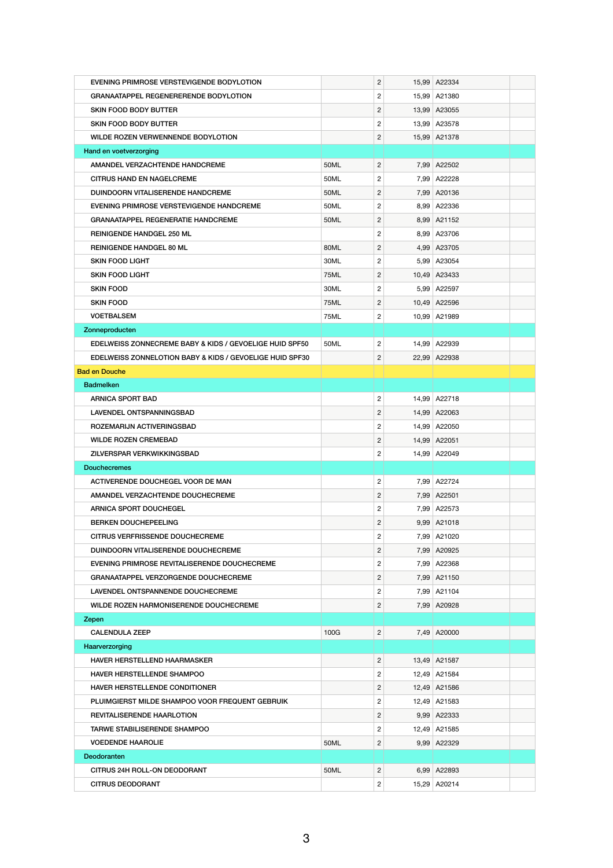| EVENING PRIMROSE VERSTEVIGENDE BODYLOTION                                                   |             | $\overline{c}$                 | 15,99 A22334 |  |
|---------------------------------------------------------------------------------------------|-------------|--------------------------------|--------------|--|
| <b>GRANAATAPPEL REGENERERENDE BODYLOTION</b>                                                |             | $\overline{2}$                 | 15,99 A21380 |  |
| <b>SKIN FOOD BODY BUTTER</b>                                                                |             | $\overline{c}$                 | 13,99 A23055 |  |
| <b>SKIN FOOD BODY BUTTER</b>                                                                |             | $\overline{c}$                 | 13,99 A23578 |  |
| WILDE ROZEN VERWENNENDE BODYLOTION                                                          |             | $\overline{2}$                 | 15,99 A21378 |  |
| Hand en voetverzorging                                                                      |             |                                |              |  |
| AMANDEL VERZACHTENDE HANDCREME                                                              | 50ML        | $\overline{2}$                 | 7,99 A22502  |  |
| <b>CITRUS HAND EN NAGELCREME</b>                                                            | 50ML        | $\overline{2}$                 | 7,99 A22228  |  |
| DUINDOORN VITALISERENDE HANDCREME                                                           | 50ML        | $\overline{c}$                 | 7,99 A20136  |  |
| EVENING PRIMROSE VERSTEVIGENDE HANDCREME                                                    | 50ML        | $\overline{c}$                 | 8,99 A22336  |  |
| <b>GRANAATAPPEL REGENERATIE HANDCREME</b>                                                   | 50ML        | $\overline{c}$                 | 8,99 A21152  |  |
| <b>REINIGENDE HANDGEL 250 ML</b>                                                            |             | $\overline{c}$                 | 8,99 A23706  |  |
| <b>REINIGENDE HANDGEL 80 ML</b>                                                             | 80ML        | $\overline{2}$                 | 4,99 A23705  |  |
| <b>SKIN FOOD LIGHT</b>                                                                      | 30ML        | $\overline{2}$                 | 5,99 A23054  |  |
| <b>SKIN FOOD LIGHT</b>                                                                      | <b>75ML</b> | $\overline{2}$                 | 10,49 A23433 |  |
| <b>SKIN FOOD</b>                                                                            | 30ML        | $\mathbf{2}$                   | 5,99 A22597  |  |
| <b>SKIN FOOD</b>                                                                            | <b>75ML</b> | $\overline{c}$                 | 10,49 A22596 |  |
| <b>VOETBALSEM</b>                                                                           | 75ML        | $\mathbf{2}$                   | 10,99 A21989 |  |
| Zonneproducten                                                                              |             |                                |              |  |
| EDELWEISS ZONNECREME BABY & KIDS / GEVOELIGE HUID SPF50                                     | 50ML        | $\overline{c}$                 | 14,99 A22939 |  |
| <b>EDELWEISS ZONNELOTION BABY &amp; KIDS / GEVOELIGE HUID SPF30</b>                         |             | $\mathbf{2}$                   | 22,99 A22938 |  |
| <b>Bad en Douche</b>                                                                        |             |                                |              |  |
| <b>Badmelken</b>                                                                            |             |                                |              |  |
| <b>ARNICA SPORT BAD</b>                                                                     |             | $\overline{c}$                 | 14,99 A22718 |  |
| LAVENDEL ONTSPANNINGSBAD                                                                    |             | $\overline{c}$                 | 14,99 A22063 |  |
| ROZEMARIJN ACTIVERINGSBAD                                                                   |             | $\mathbf{2}$                   | 14,99 A22050 |  |
| <b>WILDE ROZEN CREMEBAD</b>                                                                 |             | $\overline{c}$                 | 14,99 A22051 |  |
| ZILVERSPAR VERKWIKKINGSBAD                                                                  |             | $\overline{c}$                 | 14,99 A22049 |  |
| <b>Douchecremes</b>                                                                         |             |                                |              |  |
| ACTIVERENDE DOUCHEGEL VOOR DE MAN                                                           |             | $\overline{c}$                 | 7,99 A22724  |  |
| AMANDEL VERZACHTENDE DOUCHECREME                                                            |             | $\overline{c}$                 | 7,99 A22501  |  |
| <b>ARNICA SPORT DOUCHEGEL</b>                                                               |             | $\overline{2}$                 | 7,99 A22573  |  |
| <b>BERKEN DOUCHEPEELING</b>                                                                 |             | $\mathbf{2}$                   | 9,99 A21018  |  |
| <b>CITRUS VERFRISSENDE DOUCHECREME</b>                                                      |             | $\overline{c}$                 | 7,99 A21020  |  |
| DUINDOORN VITALISERENDE DOUCHECREME                                                         |             | $\overline{2}$                 | 7,99 A20925  |  |
|                                                                                             |             | $\overline{c}$                 | 7,99 A22368  |  |
| EVENING PRIMROSE REVITALISERENDE DOUCHECREME<br><b>GRANAATAPPEL VERZORGENDE DOUCHECREME</b> |             | $\overline{c}$                 | 7,99 A21150  |  |
| LAVENDEL ONTSPANNENDE DOUCHECREME                                                           |             | $\overline{2}$                 | 7,99 A21104  |  |
| WILDE ROZEN HARMONISERENDE DOUCHECREME                                                      |             |                                | 7,99 A20928  |  |
|                                                                                             |             | $\overline{c}$                 |              |  |
| Zepen<br><b>CALENDULA ZEEP</b>                                                              | 100G        | $\mathbf{2}$                   | 7,49 A20000  |  |
| Haarverzorging                                                                              |             |                                |              |  |
| HAVER HERSTELLEND HAARMASKER                                                                |             |                                |              |  |
| <b>HAVER HERSTELLENDE SHAMPOO</b>                                                           |             | $\overline{c}$<br>$\mathbf{2}$ | 13,49 A21587 |  |
|                                                                                             |             |                                | 12,49 A21584 |  |
| <b>HAVER HERSTELLENDE CONDITIONER</b>                                                       |             | $\mathbf{2}$                   | 12,49 A21586 |  |
| PLUIMGIERST MILDE SHAMPOO VOOR FREQUENT GEBRUIK                                             |             | $\overline{c}$                 | 12,49 A21583 |  |
| <b>REVITALISERENDE HAARLOTION</b>                                                           |             | $\overline{c}$                 | 9,99 A22333  |  |
| <b>TARWE STABILISERENDE SHAMPOO</b>                                                         |             | $\mathbf{2}$                   | 12,49 A21585 |  |
| <b>VOEDENDE HAAROLIE</b>                                                                    | 50ML        | $\overline{c}$                 | 9,99 A22329  |  |
| Deodoranten                                                                                 |             |                                |              |  |
| CITRUS 24H ROLL-ON DEODORANT                                                                | 50ML        | $\overline{c}$                 | 6,99 A22893  |  |
| <b>CITRUS DEODORANT</b>                                                                     |             | $\overline{2}$                 | 15,29 A20214 |  |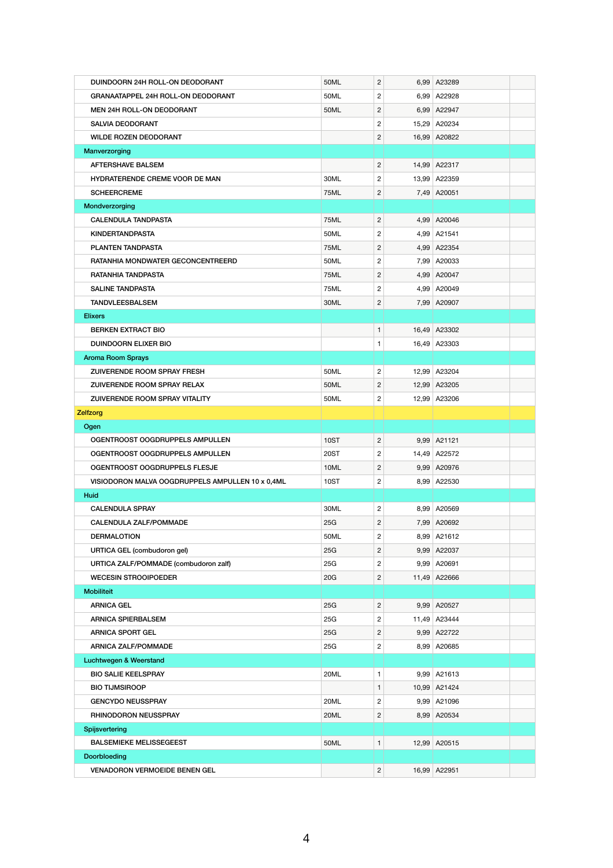| DUINDOORN 24H ROLL-ON DEODORANT                  | 50ML        | $\overline{c}$ | 6,99 A23289     |  |
|--------------------------------------------------|-------------|----------------|-----------------|--|
| <b>GRANAATAPPEL 24H ROLL-ON DEODORANT</b>        | 50ML        | $\overline{c}$ | 6,99 A22928     |  |
| <b>MEN 24H ROLL-ON DEODORANT</b>                 | 50ML        | $\overline{c}$ | 6,99 A22947     |  |
| <b>SALVIA DEODORANT</b>                          |             | $\overline{c}$ | 15,29 A20234    |  |
| <b>WILDE ROZEN DEODORANT</b>                     |             | $\overline{c}$ | 16,99 A20822    |  |
| Manverzorging                                    |             |                |                 |  |
| <b>AFTERSHAVE BALSEM</b>                         |             | $\overline{c}$ | 14,99 A22317    |  |
| HYDRATERENDE CREME VOOR DE MAN                   | 30ML        | $\mathbf{2}$   | 13,99 A22359    |  |
| <b>SCHEERCREME</b>                               | <b>75ML</b> | 2              | 7,49 A20051     |  |
| Mondverzorging                                   |             |                |                 |  |
| <b>CALENDULA TANDPASTA</b>                       | <b>75ML</b> | $\overline{c}$ | 4,99 A20046     |  |
| <b>KINDERTANDPASTA</b>                           | 50ML        | $\overline{c}$ | 4,99 A21541     |  |
| PLANTEN TANDPASTA                                | 75ML        | $\overline{c}$ | 4,99 A22354     |  |
| RATANHIA MONDWATER GECONCENTREERD                | 50ML        | $\overline{c}$ | 7,99 A20033     |  |
| RATANHIA TANDPASTA                               | <b>75ML</b> | $\overline{c}$ | 4,99 A20047     |  |
| <b>SALINE TANDPASTA</b>                          | 75ML        | $\overline{c}$ | 4,99 A20049     |  |
| <b>TANDVLEESBALSEM</b>                           | 30ML        | 2              | 7,99 A20907     |  |
| <b>Elixers</b>                                   |             |                |                 |  |
| <b>BERKEN EXTRACT BIO</b>                        |             | $\mathbf{1}$   | 16,49 A23302    |  |
| <b>DUINDOORN ELIXER BIO</b>                      |             | 1.             | 16,49 A23303    |  |
| <b>Aroma Room Sprays</b>                         |             |                |                 |  |
| <b>ZUIVERENDE ROOM SPRAY FRESH</b>               | 50ML        | $\overline{c}$ | 12,99 A23204    |  |
| <b>ZUIVERENDE ROOM SPRAY RELAX</b>               | 50ML        | $\overline{2}$ | 12,99 A23205    |  |
| ZUIVERENDE ROOM SPRAY VITALITY                   | 50ML        | $\mathbf{2}$   | 12,99 A23206    |  |
| <b>Zelfzorg</b>                                  |             |                |                 |  |
| Ogen                                             |             |                |                 |  |
| OGENTROOST OOGDRUPPELS AMPULLEN                  | <b>10ST</b> | $\overline{c}$ | 9,99 A21121     |  |
| OGENTROOST OOGDRUPPELS AMPULLEN                  | <b>20ST</b> | $\overline{c}$ | 14,49 A22572    |  |
| OGENTROOST OOGDRUPPELS FLESJE                    | 10ML        | $\mathbf{2}$   | 9,99 A20976     |  |
| VISIODORON MALVA OOGDRUPPELS AMPULLEN 10 x 0,4ML | <b>10ST</b> | $\mathbf{2}$   | 8,99 A22530     |  |
| <b>Huid</b>                                      |             |                |                 |  |
| <b>CALENDULA SPRAY</b>                           | 30ML        | $\overline{c}$ | 8,99 A20569     |  |
| <b>CALENDULA ZALF/POMMADE</b>                    | 25G         | 2              | 7,99 A20692     |  |
| <b>DERMALOTION</b>                               | 50ML        | $\overline{c}$ | 8,99 A21612     |  |
| <b>URTICA GEL (combudoron gel)</b>               | 25G         | $\overline{c}$ | 9,99 A22037     |  |
| URTICA ZALF/POMMADE (combudoron zalf)            | 25G         | $\overline{c}$ | 9,99 A20691     |  |
| <b>WECESIN STROOIPOEDER</b>                      | 20G         | $\overline{c}$ | 11,49 A22666    |  |
| <b>Mobiliteit</b>                                |             |                |                 |  |
| <b>ARNICA GEL</b>                                | 25G         | $\mathbf{2}$   | 9,99 A20527     |  |
| <b>ARNICA SPIERBALSEM</b>                        | 25G         | $\overline{c}$ | 11,49 A23444    |  |
| <b>ARNICA SPORT GEL</b>                          | 25G         | $\overline{c}$ | 9,99 A22722     |  |
| <b>ARNICA ZALF/POMMADE</b>                       | 25G         | $\overline{c}$ | 8,99 A20685     |  |
| Luchtwegen & Weerstand                           |             |                |                 |  |
| <b>BIO SALIE KEELSPRAY</b>                       | 20ML        | $\mathbf{1}$   | $9,99$ $A21613$ |  |
| <b>BIO TIJMSIROOP</b>                            |             | 1              | 10,99 A21424    |  |
| <b>GENCYDO NEUSSPRAY</b>                         | 20ML        | $\mathbf{2}$   | 9,99 A21096     |  |
| RHINODORON NEUSSPRAY                             | 20ML        | $\overline{c}$ | 8,99 A20534     |  |
| <b>Spijsvertering</b>                            |             |                |                 |  |
| <b>BALSEMIEKE MELISSEGEEST</b>                   | 50ML        | $\mathbf{1}$   | 12,99 A20515    |  |
| <b>Doorbloeding</b>                              |             |                |                 |  |
| <b>VENADORON VERMOEIDE BENEN GEL</b>             |             | $2 \mid$       | 16,99 A22951    |  |

4